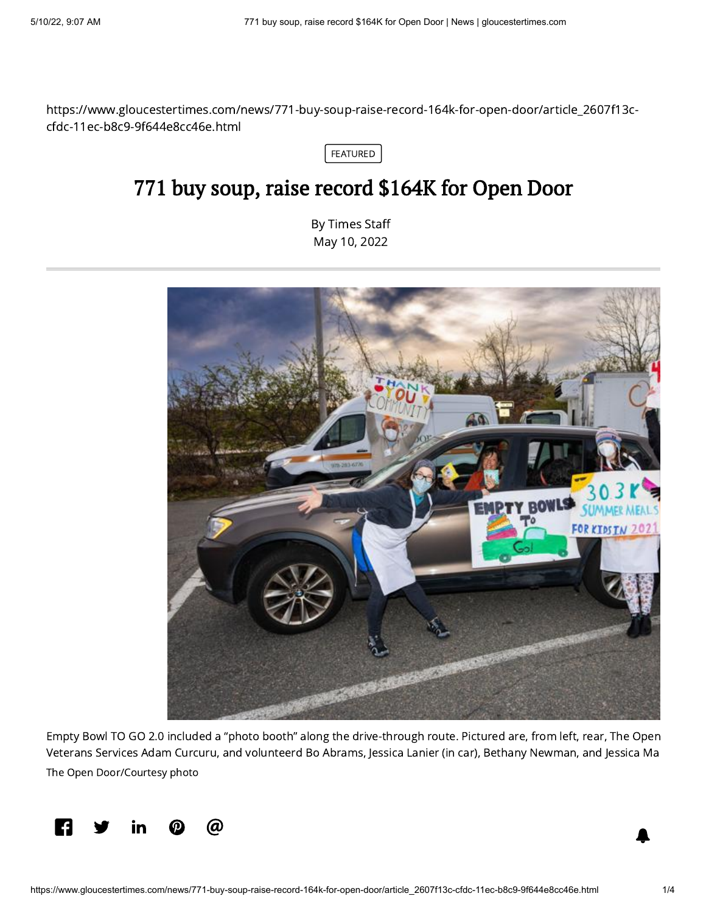https://www.gloucestertimes.com/news/771-buy-soup-raise-record-164k-for-open-door/article\_2607f13ccfdc-11ec-b8c9-9f644e8cc46e.html



## 771 buy soup, raise record \$164K for Open Door

By [Times](https://www.gloucestertimes.com/users/profile/Andrea%20Holbrook) Staff May 10, 2022



Empty Bowl TO GO 2.0 included a "photo booth" along the drive-through route. Pictured are, from left, rear, The Open Veterans Services Adam Curcuru, and volunteerd Bo Abrams, Jessica Lanier (in car), Bethany Newman, and Jessica Ma The Open Door/Courtesy photo

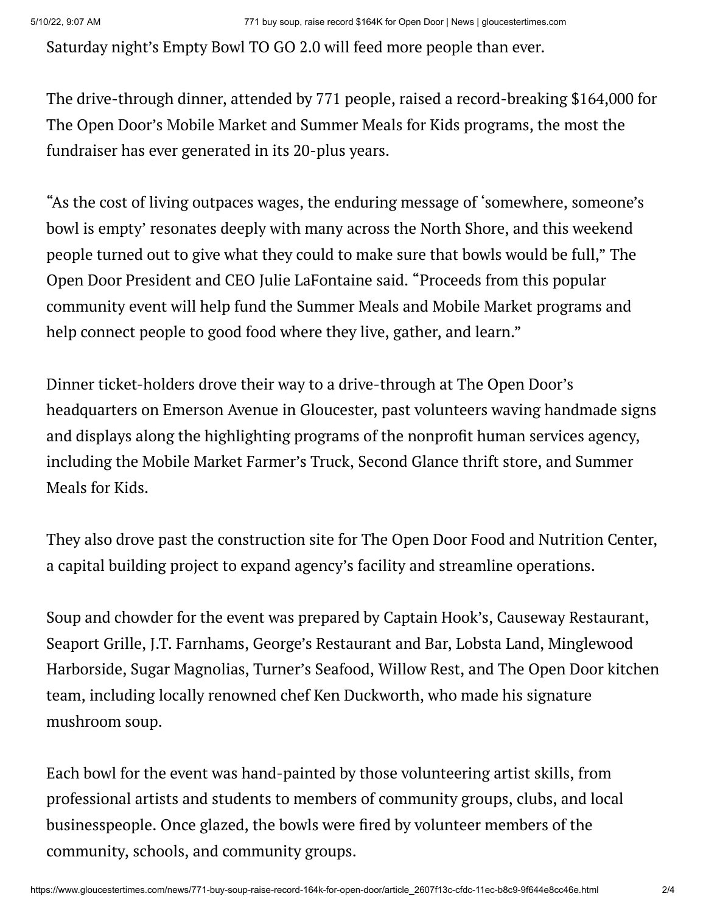Saturday night's Empty Bowl TO GO 2.0 will feed more people than ever.

The drive-through dinner, attended by 771 people, raised a record-breaking \$164,000 for The Open Door's Mobile Market and Summer Meals for Kids programs, the most the fundraiser has ever generated in its 20-plus years.

"As the cost of living outpaces wages, the enduring message of 'somewhere, someone's bowl is empty' resonates deeply with many across the North Shore, and this weekend people turned out to give what they could to make sure that bowls would be full," The Open Door President and CEO Julie LaFontaine said. "Proceeds from this popular community event will help fund the Summer Meals and Mobile Market programs and help connect people to good food where they live, gather, and learn."

Dinner ticket-holders drove their way to a drive-through at The Open Door's headquarters on Emerson Avenue in Gloucester, past volunteers waving handmade signs and displays along the highlighting programs of the nonprofit human services agency, including the Mobile Market Farmer's Truck, Second Glance thrift store, and Summer Meals for Kids.

They also drove past the construction site for The Open Door Food and Nutrition Center, a capital building project to expand agency's facility and streamline operations.

Soup and chowder for the event was prepared by Captain Hook's, Causeway Restaurant, Seaport Grille, J.T. Farnhams, George's Restaurant and Bar, Lobsta Land, Minglewood Harborside, Sugar Magnolias, Turner's Seafood, Willow Rest, and The Open Door kitchen team, including locally renowned chef Ken Duckworth, who made his signature mushroom soup.

Each bowl for the event was hand-painted by those volunteering artist skills, from professional artists and students to members of community groups, clubs, and local businesspeople. Once glazed, the bowls were fired by volunteer members of the community, schools, and community groups.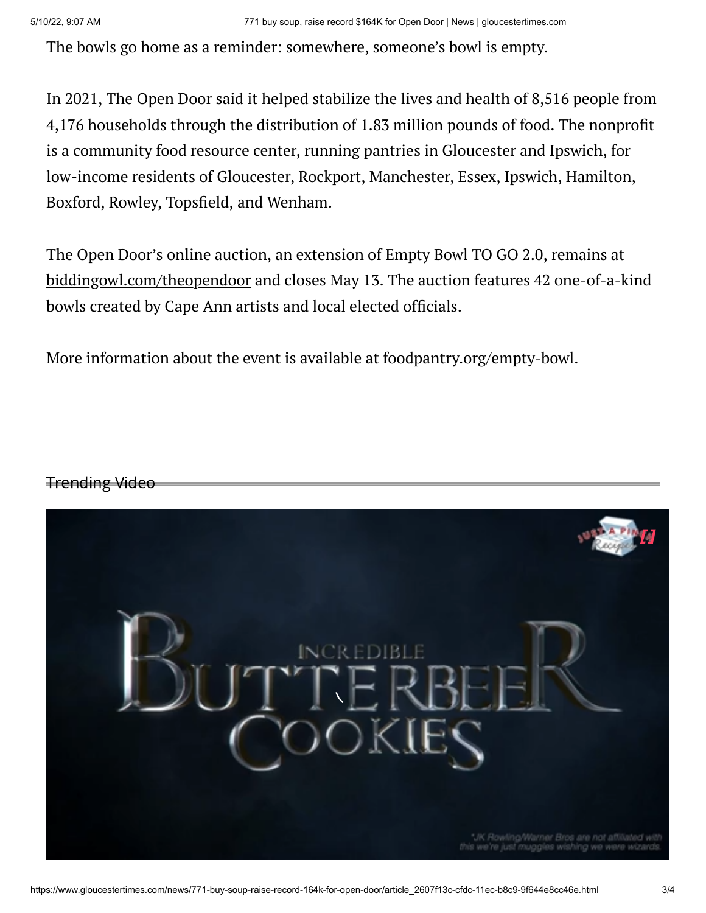The bowls go home as a reminder: somewhere, someone's bowl is empty.

In 2021, The Open Door said it helped stabilize the lives and health of 8,516 people from 4,176 households through the distribution of 1.83 million pounds of food. The nonprofit is a community food resource center, running pantries in Gloucester and Ipswich, for low-income residents of Gloucester, Rockport, Manchester, Essex, Ipswich, Hamilton, Boxford, Rowley, Topsfield, and Wenham.

The Open Door's online auction, an extension of Empty Bowl TO GO 2.0, remains at [biddingowl.com/theopendoor](http://biddingowl.com/theopendoor) and closes May 13. The auction features 42 one-of-a-kind bowls created by Cape Ann artists and local elected officials.

More information about the event is available at <u>[foodpantry.org/empty-bowl](http://foodpantry.org/empty-bowl)</u>.